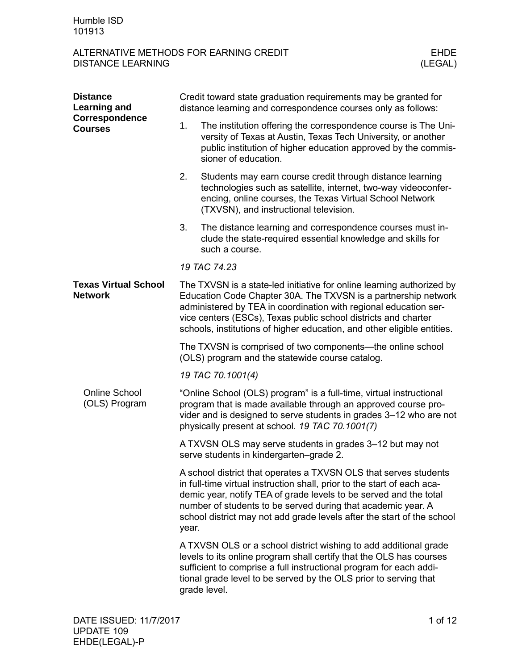| <b>Distance</b><br><b>Learning and</b><br>Correspondence<br><b>Courses</b> | Credit toward state graduation requirements may be granted for<br>distance learning and correspondence courses only as follows:                                                                                                                                                                                                                          |                                                                                                                                                                                                                                                                                                                                                            |  |  |
|----------------------------------------------------------------------------|----------------------------------------------------------------------------------------------------------------------------------------------------------------------------------------------------------------------------------------------------------------------------------------------------------------------------------------------------------|------------------------------------------------------------------------------------------------------------------------------------------------------------------------------------------------------------------------------------------------------------------------------------------------------------------------------------------------------------|--|--|
|                                                                            | 1.                                                                                                                                                                                                                                                                                                                                                       | The institution offering the correspondence course is The Uni-<br>versity of Texas at Austin, Texas Tech University, or another<br>public institution of higher education approved by the commis-<br>sioner of education.                                                                                                                                  |  |  |
|                                                                            | 2.                                                                                                                                                                                                                                                                                                                                                       | Students may earn course credit through distance learning<br>technologies such as satellite, internet, two-way videoconfer-<br>encing, online courses, the Texas Virtual School Network<br>(TXVSN), and instructional television.                                                                                                                          |  |  |
|                                                                            | 3.                                                                                                                                                                                                                                                                                                                                                       | The distance learning and correspondence courses must in-<br>clude the state-required essential knowledge and skills for<br>such a course.                                                                                                                                                                                                                 |  |  |
|                                                                            |                                                                                                                                                                                                                                                                                                                                                          | 19 TAC 74.23                                                                                                                                                                                                                                                                                                                                               |  |  |
| <b>Texas Virtual School</b><br><b>Network</b>                              | The TXVSN is a state-led initiative for online learning authorized by<br>Education Code Chapter 30A. The TXVSN is a partnership network<br>administered by TEA in coordination with regional education ser-<br>vice centers (ESCs), Texas public school districts and charter<br>schools, institutions of higher education, and other eligible entities. |                                                                                                                                                                                                                                                                                                                                                            |  |  |
|                                                                            | The TXVSN is comprised of two components—the online school<br>(OLS) program and the statewide course catalog.                                                                                                                                                                                                                                            |                                                                                                                                                                                                                                                                                                                                                            |  |  |
|                                                                            |                                                                                                                                                                                                                                                                                                                                                          | 19 TAC 70.1001(4)                                                                                                                                                                                                                                                                                                                                          |  |  |
| <b>Online School</b><br>(OLS) Program                                      | "Online School (OLS) program" is a full-time, virtual instructional<br>program that is made available through an approved course pro-<br>vider and is designed to serve students in grades 3-12 who are not<br>physically present at school. 19 TAC 70.1001(7)                                                                                           |                                                                                                                                                                                                                                                                                                                                                            |  |  |
|                                                                            |                                                                                                                                                                                                                                                                                                                                                          | A TXVSN OLS may serve students in grades 3–12 but may not<br>serve students in kindergarten-grade 2.                                                                                                                                                                                                                                                       |  |  |
|                                                                            | year.                                                                                                                                                                                                                                                                                                                                                    | A school district that operates a TXVSN OLS that serves students<br>in full-time virtual instruction shall, prior to the start of each aca-<br>demic year, notify TEA of grade levels to be served and the total<br>number of students to be served during that academic year. A<br>school district may not add grade levels after the start of the school |  |  |
|                                                                            |                                                                                                                                                                                                                                                                                                                                                          | A TXVSN OLS or a school district wishing to add additional grade<br>levels to its online program shall certify that the OLS has courses<br>sufficient to comprise a full instructional program for each addi-<br>tional grade level to be served by the OLS prior to serving that<br>grade level.                                                          |  |  |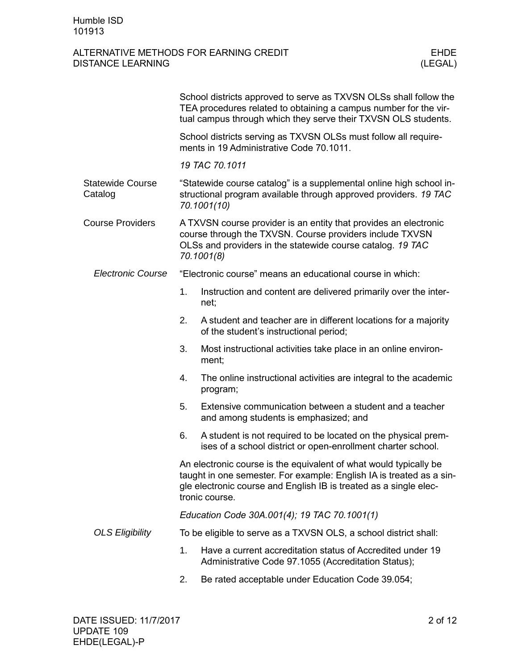|                                    |                                                                                                                                                                                                                                  | School districts approved to serve as TXVSN OLSs shall follow the<br>TEA procedures related to obtaining a campus number for the vir-<br>tual campus through which they serve their TXVSN OLS students. |  |
|------------------------------------|----------------------------------------------------------------------------------------------------------------------------------------------------------------------------------------------------------------------------------|---------------------------------------------------------------------------------------------------------------------------------------------------------------------------------------------------------|--|
|                                    |                                                                                                                                                                                                                                  | School districts serving as TXVSN OLSs must follow all require-<br>ments in 19 Administrative Code 70.1011.                                                                                             |  |
|                                    |                                                                                                                                                                                                                                  | 19 TAC 70.1011                                                                                                                                                                                          |  |
| <b>Statewide Course</b><br>Catalog | "Statewide course catalog" is a supplemental online high school in-<br>structional program available through approved providers. 19 TAC<br>70.1001(10)                                                                           |                                                                                                                                                                                                         |  |
| <b>Course Providers</b>            | A TXVSN course provider is an entity that provides an electronic<br>course through the TXVSN. Course providers include TXVSN<br>OLSs and providers in the statewide course catalog. 19 TAC<br>70.1001(8)                         |                                                                                                                                                                                                         |  |
| <b>Electronic Course</b>           |                                                                                                                                                                                                                                  | "Electronic course" means an educational course in which:                                                                                                                                               |  |
|                                    | 1.                                                                                                                                                                                                                               | Instruction and content are delivered primarily over the inter-<br>net;                                                                                                                                 |  |
|                                    | 2.                                                                                                                                                                                                                               | A student and teacher are in different locations for a majority<br>of the student's instructional period;                                                                                               |  |
|                                    | 3.                                                                                                                                                                                                                               | Most instructional activities take place in an online environ-<br>ment;                                                                                                                                 |  |
|                                    | 4.                                                                                                                                                                                                                               | The online instructional activities are integral to the academic<br>program;                                                                                                                            |  |
|                                    | 5.                                                                                                                                                                                                                               | Extensive communication between a student and a teacher<br>and among students is emphasized; and                                                                                                        |  |
|                                    | 6.                                                                                                                                                                                                                               | A student is not required to be located on the physical prem-<br>ises of a school district or open-enrollment charter school.                                                                           |  |
|                                    | An electronic course is the equivalent of what would typically be<br>taught in one semester. For example: English IA is treated as a sin-<br>gle electronic course and English IB is treated as a single elec-<br>tronic course. |                                                                                                                                                                                                         |  |
|                                    |                                                                                                                                                                                                                                  | Education Code 30A.001(4); 19 TAC 70.1001(1)                                                                                                                                                            |  |
| <b>OLS Eligibility</b>             | To be eligible to serve as a TXVSN OLS, a school district shall:                                                                                                                                                                 |                                                                                                                                                                                                         |  |
|                                    | 1.                                                                                                                                                                                                                               | Have a current accreditation status of Accredited under 19<br>Administrative Code 97.1055 (Accreditation Status);                                                                                       |  |
|                                    | 2.                                                                                                                                                                                                                               | Be rated acceptable under Education Code 39.054;                                                                                                                                                        |  |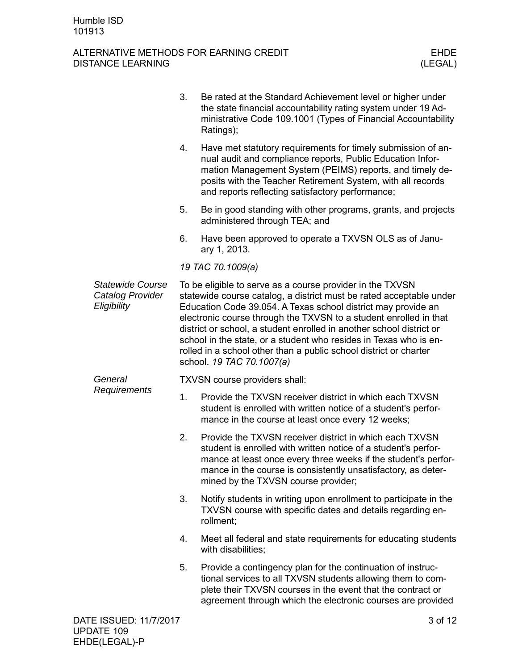|                                                            | 3. | Be rated at the Standard Achievement level or higher under<br>the state financial accountability rating system under 19 Ad-<br>ministrative Code 109.1001 (Types of Financial Accountability<br>Ratings);                                                                                                                                                                                                                                                                                                             |
|------------------------------------------------------------|----|-----------------------------------------------------------------------------------------------------------------------------------------------------------------------------------------------------------------------------------------------------------------------------------------------------------------------------------------------------------------------------------------------------------------------------------------------------------------------------------------------------------------------|
|                                                            | 4. | Have met statutory requirements for timely submission of an-<br>nual audit and compliance reports, Public Education Infor-<br>mation Management System (PEIMS) reports, and timely de-<br>posits with the Teacher Retirement System, with all records<br>and reports reflecting satisfactory performance;                                                                                                                                                                                                             |
|                                                            | 5. | Be in good standing with other programs, grants, and projects<br>administered through TEA; and                                                                                                                                                                                                                                                                                                                                                                                                                        |
|                                                            | 6. | Have been approved to operate a TXVSN OLS as of Janu-<br>ary 1, 2013.                                                                                                                                                                                                                                                                                                                                                                                                                                                 |
|                                                            |    | 19 TAC 70.1009(a)                                                                                                                                                                                                                                                                                                                                                                                                                                                                                                     |
| <b>Statewide Course</b><br>Catalog Provider<br>Eligibility |    | To be eligible to serve as a course provider in the TXVSN<br>statewide course catalog, a district must be rated acceptable under<br>Education Code 39.054. A Texas school district may provide an<br>electronic course through the TXVSN to a student enrolled in that<br>district or school, a student enrolled in another school district or<br>school in the state, or a student who resides in Texas who is en-<br>rolled in a school other than a public school district or charter<br>school. 19 TAC 70.1007(a) |
| General                                                    |    | TXVSN course providers shall:                                                                                                                                                                                                                                                                                                                                                                                                                                                                                         |
| Requirements                                               | 1. | Provide the TXVSN receiver district in which each TXVSN<br>student is enrolled with written notice of a student's perfor-<br>mance in the course at least once every 12 weeks;                                                                                                                                                                                                                                                                                                                                        |
|                                                            | 2. | Provide the TXVSN receiver district in which each TXVSN<br>student is enrolled with written notice of a student's perfor-<br>mance at least once every three weeks if the student's perfor-<br>mance in the course is consistently unsatisfactory, as deter-<br>mined by the TXVSN course provider;                                                                                                                                                                                                                   |
|                                                            | 3. | Notify students in writing upon enrollment to participate in the<br>TXVSN course with specific dates and details regarding en-<br>rollment;                                                                                                                                                                                                                                                                                                                                                                           |
|                                                            | 4. | Meet all federal and state requirements for educating students<br>with disabilities;                                                                                                                                                                                                                                                                                                                                                                                                                                  |
|                                                            | 5. | Provide a contingency plan for the continuation of instruc-<br>tional services to all TXVSN students allowing them to com-<br>plete their TXVSN courses in the event that the contract or<br>agreement through which the electronic courses are provided                                                                                                                                                                                                                                                              |
| DATE ISSUED: 11/7/2017                                     |    | 3 of 12                                                                                                                                                                                                                                                                                                                                                                                                                                                                                                               |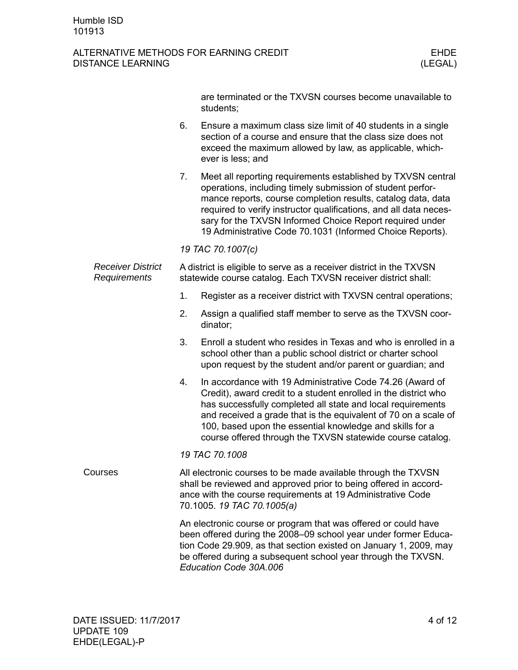|                                          |    | are terminated or the TXVSN courses become unavailable to<br>students;                                                                                                                                                                                                                                                                                                                   |  |  |
|------------------------------------------|----|------------------------------------------------------------------------------------------------------------------------------------------------------------------------------------------------------------------------------------------------------------------------------------------------------------------------------------------------------------------------------------------|--|--|
|                                          | 6. | Ensure a maximum class size limit of 40 students in a single<br>section of a course and ensure that the class size does not<br>exceed the maximum allowed by law, as applicable, which-<br>ever is less; and                                                                                                                                                                             |  |  |
|                                          | 7. | Meet all reporting requirements established by TXVSN central<br>operations, including timely submission of student perfor-<br>mance reports, course completion results, catalog data, data<br>required to verify instructor qualifications, and all data neces-<br>sary for the TXVSN Informed Choice Report required under<br>19 Administrative Code 70.1031 (Informed Choice Reports). |  |  |
|                                          |    | 19 TAC 70.1007(c)                                                                                                                                                                                                                                                                                                                                                                        |  |  |
| <b>Receiver District</b><br>Requirements |    | A district is eligible to serve as a receiver district in the TXVSN<br>statewide course catalog. Each TXVSN receiver district shall:                                                                                                                                                                                                                                                     |  |  |
|                                          | 1. | Register as a receiver district with TXVSN central operations;                                                                                                                                                                                                                                                                                                                           |  |  |
|                                          | 2. | Assign a qualified staff member to serve as the TXVSN coor-<br>dinator;                                                                                                                                                                                                                                                                                                                  |  |  |
|                                          | 3. | Enroll a student who resides in Texas and who is enrolled in a<br>school other than a public school district or charter school<br>upon request by the student and/or parent or guardian; and                                                                                                                                                                                             |  |  |
|                                          | 4. | In accordance with 19 Administrative Code 74.26 (Award of<br>Credit), award credit to a student enrolled in the district who<br>has successfully completed all state and local requirements<br>and received a grade that is the equivalent of 70 on a scale of<br>100, based upon the essential knowledge and skills for a<br>course offered through the TXVSN statewide course catalog. |  |  |
|                                          |    | 19 TAC 70.1008                                                                                                                                                                                                                                                                                                                                                                           |  |  |
| Courses                                  |    | All electronic courses to be made available through the TXVSN<br>shall be reviewed and approved prior to being offered in accord-<br>ance with the course requirements at 19 Administrative Code<br>70.1005. 19 TAC 70.1005(a)                                                                                                                                                           |  |  |
|                                          |    | An electronic course or program that was offered or could have<br>been offered during the 2008-09 school year under former Educa-<br>tion Code 29.909, as that section existed on January 1, 2009, may<br>be offered during a subsequent school year through the TXVSN.<br>Education Code 30A.006                                                                                        |  |  |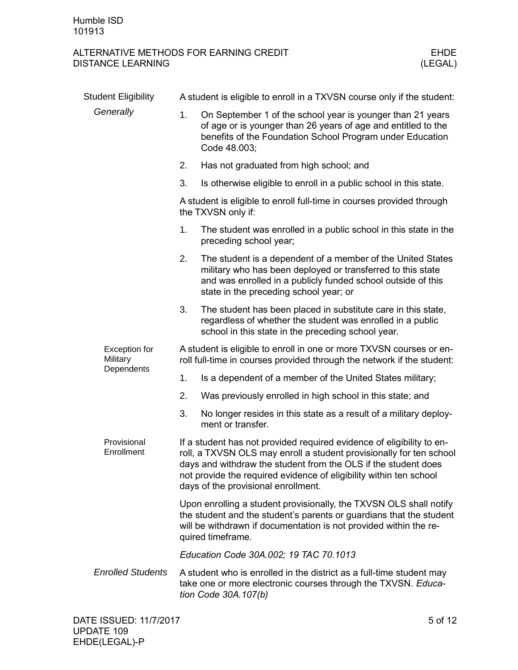| <b>Student Eligibility</b> | A student is eligible to enroll in a TXVSN course only if the student:                                                                                                                                                              |                                                                                                                                                                                                                                                                                                                             |  |
|----------------------------|-------------------------------------------------------------------------------------------------------------------------------------------------------------------------------------------------------------------------------------|-----------------------------------------------------------------------------------------------------------------------------------------------------------------------------------------------------------------------------------------------------------------------------------------------------------------------------|--|
| Generally                  | 1.                                                                                                                                                                                                                                  | On September 1 of the school year is younger than 21 years<br>of age or is younger than 26 years of age and entitled to the<br>benefits of the Foundation School Program under Education<br>Code 48.003;                                                                                                                    |  |
|                            | 2.                                                                                                                                                                                                                                  | Has not graduated from high school; and                                                                                                                                                                                                                                                                                     |  |
|                            | 3.                                                                                                                                                                                                                                  | Is otherwise eligible to enroll in a public school in this state.                                                                                                                                                                                                                                                           |  |
|                            |                                                                                                                                                                                                                                     | A student is eligible to enroll full-time in courses provided through<br>the TXVSN only if:                                                                                                                                                                                                                                 |  |
|                            | 1.                                                                                                                                                                                                                                  | The student was enrolled in a public school in this state in the<br>preceding school year;                                                                                                                                                                                                                                  |  |
|                            | 2.                                                                                                                                                                                                                                  | The student is a dependent of a member of the United States<br>military who has been deployed or transferred to this state<br>and was enrolled in a publicly funded school outside of this<br>state in the preceding school year; or                                                                                        |  |
|                            | 3.                                                                                                                                                                                                                                  | The student has been placed in substitute care in this state,<br>regardless of whether the student was enrolled in a public<br>school in this state in the preceding school year.                                                                                                                                           |  |
| Exception for<br>Military  | A student is eligible to enroll in one or more TXVSN courses or en-<br>roll full-time in courses provided through the network if the student:                                                                                       |                                                                                                                                                                                                                                                                                                                             |  |
| Dependents                 | 1.                                                                                                                                                                                                                                  | Is a dependent of a member of the United States military;                                                                                                                                                                                                                                                                   |  |
|                            | 2.                                                                                                                                                                                                                                  | Was previously enrolled in high school in this state; and                                                                                                                                                                                                                                                                   |  |
|                            | 3.                                                                                                                                                                                                                                  | No longer resides in this state as a result of a military deploy-<br>ment or transfer.                                                                                                                                                                                                                                      |  |
| Provisional<br>Enrollment  |                                                                                                                                                                                                                                     | If a student has not provided required evidence of eligibility to en-<br>roll, a TXVSN OLS may enroll a student provisionally for ten school<br>days and withdraw the student from the OLS if the student does<br>not provide the required evidence of eligibility within ten school<br>days of the provisional enrollment. |  |
|                            | Upon enrolling a student provisionally, the TXVSN OLS shall notify<br>the student and the student's parents or guardians that the student<br>will be withdrawn if documentation is not provided within the re-<br>quired timeframe. |                                                                                                                                                                                                                                                                                                                             |  |
|                            |                                                                                                                                                                                                                                     | Education Code 30A.002; 19 TAC 70.1013                                                                                                                                                                                                                                                                                      |  |
| <b>Enrolled Students</b>   |                                                                                                                                                                                                                                     | A student who is enrolled in the district as a full-time student may<br>take one or more electronic courses through the TXVSN. Educa-<br>tion Code 30A.107(b)                                                                                                                                                               |  |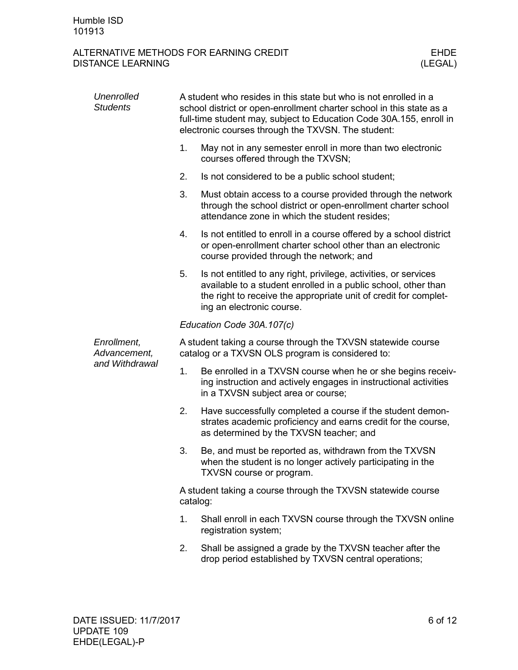| <b>Unenrolled</b><br><b>Students</b>          | A student who resides in this state but who is not enrolled in a<br>school district or open-enrollment charter school in this state as a<br>full-time student may, subject to Education Code 30A.155, enroll in<br>electronic courses through the TXVSN. The student: |                                                                                                                                                                                                                                     |  |
|-----------------------------------------------|-----------------------------------------------------------------------------------------------------------------------------------------------------------------------------------------------------------------------------------------------------------------------|-------------------------------------------------------------------------------------------------------------------------------------------------------------------------------------------------------------------------------------|--|
|                                               | 1.                                                                                                                                                                                                                                                                    | May not in any semester enroll in more than two electronic<br>courses offered through the TXVSN;                                                                                                                                    |  |
|                                               | 2.                                                                                                                                                                                                                                                                    | Is not considered to be a public school student;                                                                                                                                                                                    |  |
|                                               | 3.                                                                                                                                                                                                                                                                    | Must obtain access to a course provided through the network<br>through the school district or open-enrollment charter school<br>attendance zone in which the student resides;                                                       |  |
|                                               | 4.                                                                                                                                                                                                                                                                    | Is not entitled to enroll in a course offered by a school district<br>or open-enrollment charter school other than an electronic<br>course provided through the network; and                                                        |  |
|                                               | 5.                                                                                                                                                                                                                                                                    | Is not entitled to any right, privilege, activities, or services<br>available to a student enrolled in a public school, other than<br>the right to receive the appropriate unit of credit for complet-<br>ing an electronic course. |  |
|                                               | Education Code 30A.107(c)                                                                                                                                                                                                                                             |                                                                                                                                                                                                                                     |  |
| Enrollment,<br>Advancement,<br>and Withdrawal | A student taking a course through the TXVSN statewide course<br>catalog or a TXVSN OLS program is considered to:                                                                                                                                                      |                                                                                                                                                                                                                                     |  |
|                                               | 1.                                                                                                                                                                                                                                                                    | Be enrolled in a TXVSN course when he or she begins receiv-<br>ing instruction and actively engages in instructional activities<br>in a TXVSN subject area or course;                                                               |  |
|                                               | 2.                                                                                                                                                                                                                                                                    | Have successfully completed a course if the student demon-<br>strates academic proficiency and earns credit for the course,<br>as determined by the TXVSN teacher; and                                                              |  |
|                                               | 3.                                                                                                                                                                                                                                                                    | Be, and must be reported as, withdrawn from the TXVSN<br>when the student is no longer actively participating in the<br>TXVSN course or program.                                                                                    |  |
|                                               | A student taking a course through the TXVSN statewide course<br>catalog:                                                                                                                                                                                              |                                                                                                                                                                                                                                     |  |
|                                               | 1.                                                                                                                                                                                                                                                                    | Shall enroll in each TXVSN course through the TXVSN online<br>registration system;                                                                                                                                                  |  |
|                                               | 2.                                                                                                                                                                                                                                                                    | Shall be assigned a grade by the TXVSN teacher after the<br>drop period established by TXVSN central operations;                                                                                                                    |  |
|                                               |                                                                                                                                                                                                                                                                       |                                                                                                                                                                                                                                     |  |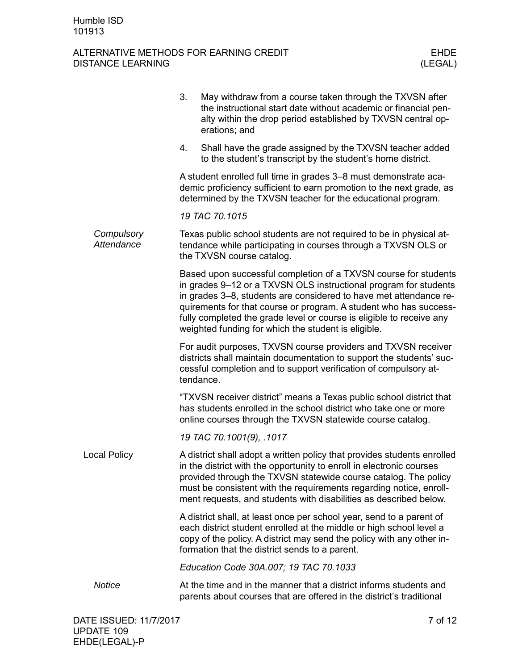|                          | 3.<br>May withdraw from a course taken through the TXVSN after<br>the instructional start date without academic or financial pen-<br>alty within the drop period established by TXVSN central op-<br>erations; and                                                                                                                                                                                           |
|--------------------------|--------------------------------------------------------------------------------------------------------------------------------------------------------------------------------------------------------------------------------------------------------------------------------------------------------------------------------------------------------------------------------------------------------------|
|                          | Shall have the grade assigned by the TXVSN teacher added<br>4.<br>to the student's transcript by the student's home district.                                                                                                                                                                                                                                                                                |
|                          | A student enrolled full time in grades 3-8 must demonstrate aca-<br>demic proficiency sufficient to earn promotion to the next grade, as<br>determined by the TXVSN teacher for the educational program.                                                                                                                                                                                                     |
|                          | 19 TAC 70.1015                                                                                                                                                                                                                                                                                                                                                                                               |
| Compulsory<br>Attendance | Texas public school students are not required to be in physical at-<br>tendance while participating in courses through a TXVSN OLS or<br>the TXVSN course catalog.                                                                                                                                                                                                                                           |
|                          | Based upon successful completion of a TXVSN course for students<br>in grades 9-12 or a TXVSN OLS instructional program for students<br>in grades 3–8, students are considered to have met attendance re-<br>quirements for that course or program. A student who has success-<br>fully completed the grade level or course is eligible to receive any<br>weighted funding for which the student is eligible. |
|                          | For audit purposes, TXVSN course providers and TXVSN receiver<br>districts shall maintain documentation to support the students' suc-<br>cessful completion and to support verification of compulsory at-<br>tendance.                                                                                                                                                                                       |
|                          | "TXVSN receiver district" means a Texas public school district that<br>has students enrolled in the school district who take one or more<br>online courses through the TXVSN statewide course catalog.                                                                                                                                                                                                       |
|                          | 19 TAC 70.1001(9), .1017                                                                                                                                                                                                                                                                                                                                                                                     |
| <b>Local Policy</b>      | A district shall adopt a written policy that provides students enrolled<br>in the district with the opportunity to enroll in electronic courses<br>provided through the TXVSN statewide course catalog. The policy<br>must be consistent with the requirements regarding notice, enroll-<br>ment requests, and students with disabilities as described below.                                                |
|                          | A district shall, at least once per school year, send to a parent of<br>each district student enrolled at the middle or high school level a<br>copy of the policy. A district may send the policy with any other in-<br>formation that the district sends to a parent.                                                                                                                                       |
|                          | Education Code 30A.007; 19 TAC 70.1033                                                                                                                                                                                                                                                                                                                                                                       |
| <b>Notice</b>            | At the time and in the manner that a district informs students and<br>parents about courses that are offered in the district's traditional                                                                                                                                                                                                                                                                   |
|                          |                                                                                                                                                                                                                                                                                                                                                                                                              |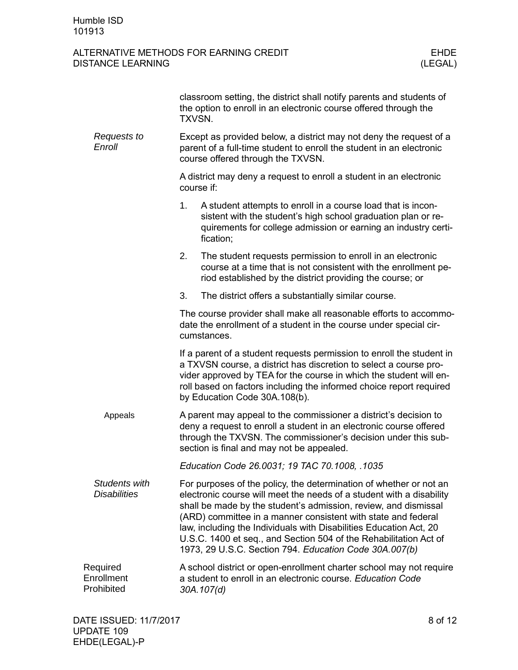|                                      | TXVSN.                                                                                                                                                                                                                                                | classroom setting, the district shall notify parents and students of<br>the option to enroll in an electronic course offered through the                                                                                                                                                                                                                                                                                                                                            |  |
|--------------------------------------|-------------------------------------------------------------------------------------------------------------------------------------------------------------------------------------------------------------------------------------------------------|-------------------------------------------------------------------------------------------------------------------------------------------------------------------------------------------------------------------------------------------------------------------------------------------------------------------------------------------------------------------------------------------------------------------------------------------------------------------------------------|--|
| Requests to<br>Enroll                | Except as provided below, a district may not deny the request of a<br>parent of a full-time student to enroll the student in an electronic<br>course offered through the TXVSN.                                                                       |                                                                                                                                                                                                                                                                                                                                                                                                                                                                                     |  |
|                                      | A district may deny a request to enroll a student in an electronic<br>course if:                                                                                                                                                                      |                                                                                                                                                                                                                                                                                                                                                                                                                                                                                     |  |
|                                      | 1.                                                                                                                                                                                                                                                    | A student attempts to enroll in a course load that is incon-<br>sistent with the student's high school graduation plan or re-<br>quirements for college admission or earning an industry certi-<br>fication;                                                                                                                                                                                                                                                                        |  |
|                                      | 2.                                                                                                                                                                                                                                                    | The student requests permission to enroll in an electronic<br>course at a time that is not consistent with the enrollment pe-<br>riod established by the district providing the course; or                                                                                                                                                                                                                                                                                          |  |
|                                      | 3.                                                                                                                                                                                                                                                    | The district offers a substantially similar course.                                                                                                                                                                                                                                                                                                                                                                                                                                 |  |
|                                      |                                                                                                                                                                                                                                                       | The course provider shall make all reasonable efforts to accommo-<br>date the enrollment of a student in the course under special cir-<br>cumstances.                                                                                                                                                                                                                                                                                                                               |  |
|                                      |                                                                                                                                                                                                                                                       | If a parent of a student requests permission to enroll the student in<br>a TXVSN course, a district has discretion to select a course pro-<br>vider approved by TEA for the course in which the student will en-<br>roll based on factors including the informed choice report required<br>by Education Code 30A.108(b).                                                                                                                                                            |  |
| Appeals                              | A parent may appeal to the commissioner a district's decision to<br>deny a request to enroll a student in an electronic course offered<br>through the TXVSN. The commissioner's decision under this sub-<br>section is final and may not be appealed. |                                                                                                                                                                                                                                                                                                                                                                                                                                                                                     |  |
|                                      |                                                                                                                                                                                                                                                       | Education Code 26.0031; 19 TAC 70.1008, .1035                                                                                                                                                                                                                                                                                                                                                                                                                                       |  |
| Students with<br><b>Disabilities</b> |                                                                                                                                                                                                                                                       | For purposes of the policy, the determination of whether or not an<br>electronic course will meet the needs of a student with a disability<br>shall be made by the student's admission, review, and dismissal<br>(ARD) committee in a manner consistent with state and federal<br>law, including the Individuals with Disabilities Education Act, 20<br>U.S.C. 1400 et seq., and Section 504 of the Rehabilitation Act of<br>1973, 29 U.S.C. Section 794. Education Code 30A.007(b) |  |
| Required<br>Enrollment<br>Prohibited | A school district or open-enrollment charter school may not require<br>a student to enroll in an electronic course. Education Code<br>30A.107(d)                                                                                                      |                                                                                                                                                                                                                                                                                                                                                                                                                                                                                     |  |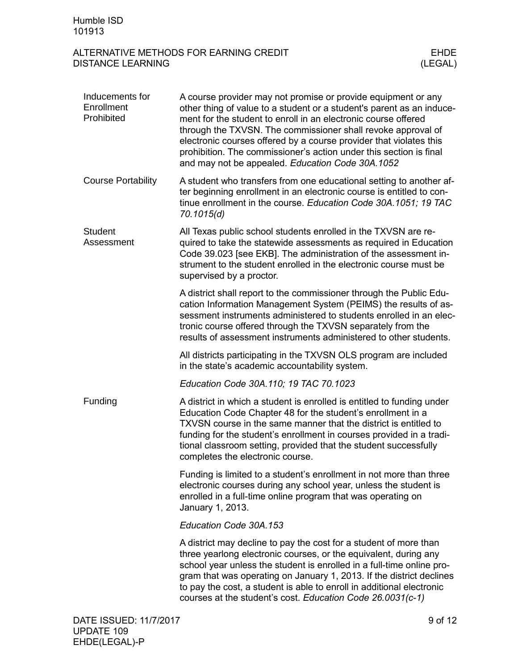| Inducements for<br>Enrollment<br>Prohibited | A course provider may not promise or provide equipment or any<br>other thing of value to a student or a student's parent as an induce-<br>ment for the student to enroll in an electronic course offered<br>through the TXVSN. The commissioner shall revoke approval of<br>electronic courses offered by a course provider that violates this<br>prohibition. The commissioner's action under this section is final<br>and may not be appealed. Education Code 30A.1052 |         |
|---------------------------------------------|--------------------------------------------------------------------------------------------------------------------------------------------------------------------------------------------------------------------------------------------------------------------------------------------------------------------------------------------------------------------------------------------------------------------------------------------------------------------------|---------|
| <b>Course Portability</b>                   | A student who transfers from one educational setting to another af-<br>ter beginning enrollment in an electronic course is entitled to con-<br>tinue enrollment in the course. Education Code 30A.1051; 19 TAC<br>70.1015(d)                                                                                                                                                                                                                                             |         |
| <b>Student</b><br>Assessment                | All Texas public school students enrolled in the TXVSN are re-<br>quired to take the statewide assessments as required in Education<br>Code 39.023 [see EKB]. The administration of the assessment in-<br>strument to the student enrolled in the electronic course must be<br>supervised by a proctor.                                                                                                                                                                  |         |
|                                             | A district shall report to the commissioner through the Public Edu-<br>cation Information Management System (PEIMS) the results of as-<br>sessment instruments administered to students enrolled in an elec-<br>tronic course offered through the TXVSN separately from the<br>results of assessment instruments administered to other students.                                                                                                                         |         |
|                                             | All districts participating in the TXVSN OLS program are included<br>in the state's academic accountability system.                                                                                                                                                                                                                                                                                                                                                      |         |
|                                             | Education Code 30A.110; 19 TAC 70.1023                                                                                                                                                                                                                                                                                                                                                                                                                                   |         |
| Funding                                     | A district in which a student is enrolled is entitled to funding under<br>Education Code Chapter 48 for the student's enrollment in a<br>TXVSN course in the same manner that the district is entitled to<br>funding for the student's enrollment in courses provided in a tradi-<br>tional classroom setting, provided that the student successfully<br>completes the electronic course.                                                                                |         |
|                                             | Funding is limited to a student's enrollment in not more than three<br>electronic courses during any school year, unless the student is<br>enrolled in a full-time online program that was operating on<br>January 1, 2013.                                                                                                                                                                                                                                              |         |
|                                             | Education Code 30A.153                                                                                                                                                                                                                                                                                                                                                                                                                                                   |         |
|                                             | A district may decline to pay the cost for a student of more than<br>three yearlong electronic courses, or the equivalent, during any<br>school year unless the student is enrolled in a full-time online pro-<br>gram that was operating on January 1, 2013. If the district declines<br>to pay the cost, a student is able to enroll in additional electronic<br>courses at the student's cost. Education Code 26.0031(c-1)                                            |         |
| DATE ISSUED: 11/7/2017                      |                                                                                                                                                                                                                                                                                                                                                                                                                                                                          | 9 of 12 |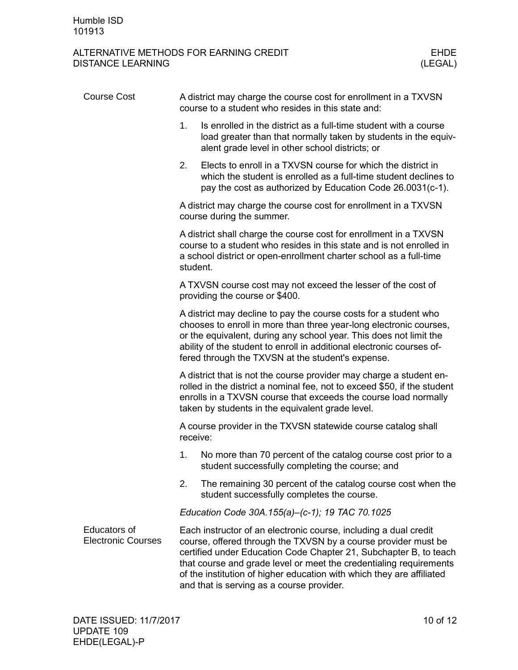| <b>Course Cost</b>                               | A district may charge the course cost for enrollment in a TXVSN<br>course to a student who resides in this state and:                                                                                                                                                                                                                                                                               |  |  |
|--------------------------------------------------|-----------------------------------------------------------------------------------------------------------------------------------------------------------------------------------------------------------------------------------------------------------------------------------------------------------------------------------------------------------------------------------------------------|--|--|
|                                                  | 1.<br>Is enrolled in the district as a full-time student with a course<br>load greater than that normally taken by students in the equiv-<br>alent grade level in other school districts; or                                                                                                                                                                                                        |  |  |
|                                                  | Elects to enroll in a TXVSN course for which the district in<br>2.<br>which the student is enrolled as a full-time student declines to<br>pay the cost as authorized by Education Code 26.0031(c-1).                                                                                                                                                                                                |  |  |
|                                                  | A district may charge the course cost for enrollment in a TXVSN<br>course during the summer.                                                                                                                                                                                                                                                                                                        |  |  |
|                                                  | A district shall charge the course cost for enrollment in a TXVSN<br>course to a student who resides in this state and is not enrolled in<br>a school district or open-enrollment charter school as a full-time<br>student.                                                                                                                                                                         |  |  |
|                                                  | A TXVSN course cost may not exceed the lesser of the cost of<br>providing the course or \$400.                                                                                                                                                                                                                                                                                                      |  |  |
|                                                  | A district may decline to pay the course costs for a student who<br>chooses to enroll in more than three year-long electronic courses,<br>or the equivalent, during any school year. This does not limit the<br>ability of the student to enroll in additional electronic courses of-<br>fered through the TXVSN at the student's expense.                                                          |  |  |
|                                                  | A district that is not the course provider may charge a student en-<br>rolled in the district a nominal fee, not to exceed \$50, if the student<br>enrolls in a TXVSN course that exceeds the course load normally<br>taken by students in the equivalent grade level.                                                                                                                              |  |  |
|                                                  | A course provider in the TXVSN statewide course catalog shall<br>receive:                                                                                                                                                                                                                                                                                                                           |  |  |
|                                                  | No more than 70 percent of the catalog course cost prior to a<br>1.<br>student successfully completing the course; and                                                                                                                                                                                                                                                                              |  |  |
|                                                  | 2.<br>The remaining 30 percent of the catalog course cost when the<br>student successfully completes the course.                                                                                                                                                                                                                                                                                    |  |  |
|                                                  | Education Code 30A.155(a)-(c-1); 19 TAC 70.1025                                                                                                                                                                                                                                                                                                                                                     |  |  |
| <b>Educators of</b><br><b>Electronic Courses</b> | Each instructor of an electronic course, including a dual credit<br>course, offered through the TXVSN by a course provider must be<br>certified under Education Code Chapter 21, Subchapter B, to teach<br>that course and grade level or meet the credentialing requirements<br>of the institution of higher education with which they are affiliated<br>and that is serving as a course provider. |  |  |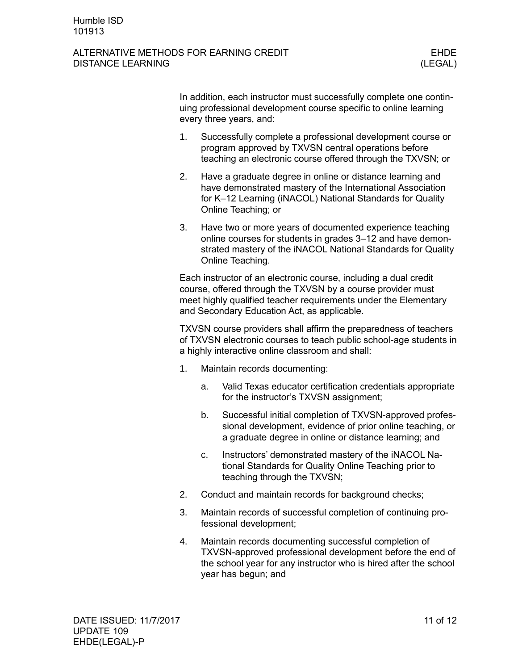#### ALTERNATIVE METHODS FOR EARNING CREDIT FOR THE REAL THREE FIDE DISTANCE LEARNING (LEGAL)

In addition, each instructor must successfully complete one continuing professional development course specific to online learning every three years, and:

- 1. Successfully complete a professional development course or program approved by TXVSN central operations before teaching an electronic course offered through the TXVSN; or
- 2. Have a graduate degree in online or distance learning and have demonstrated mastery of the International Association for K–12 Learning (iNACOL) National Standards for Quality Online Teaching; or
- 3. Have two or more years of documented experience teaching online courses for students in grades 3–12 and have demonstrated mastery of the iNACOL National Standards for Quality Online Teaching.

Each instructor of an electronic course, including a dual credit course, offered through the TXVSN by a course provider must meet highly qualified teacher requirements under the Elementary and Secondary Education Act, as applicable.

TXVSN course providers shall affirm the preparedness of teachers of TXVSN electronic courses to teach public school-age students in a highly interactive online classroom and shall:

- 1. Maintain records documenting:
	- a. Valid Texas educator certification credentials appropriate for the instructor's TXVSN assignment;
	- b. Successful initial completion of TXVSN-approved professional development, evidence of prior online teaching, or a graduate degree in online or distance learning; and
	- c. Instructors' demonstrated mastery of the iNACOL National Standards for Quality Online Teaching prior to teaching through the TXVSN;
- 2. Conduct and maintain records for background checks;
- 3. Maintain records of successful completion of continuing professional development;
- 4. Maintain records documenting successful completion of TXVSN-approved professional development before the end of the school year for any instructor who is hired after the school year has begun; and